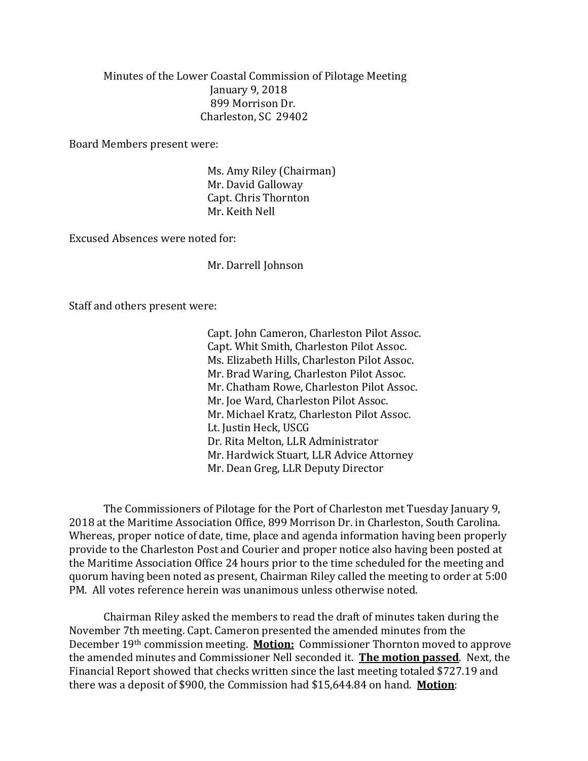Minutes of the Lower Coastal Commission of Pilotage Meeting January 9, 2018 899 Morrison Dr. Charleston, SC 29402

Board Members present were:

Ms. Amy Riley (Chairman) Mr. David Galloway Capt. Chris Thornton Mr. Keith Nell

Excused Absences were noted for:

Mr. Darrell Johnson

Staff and others present were:

Capt. John Cameron, Charleston Pilot Assoc. Capt. Whit Smith, Charleston Pilot Assoc. Ms. Elizabeth Hills, Charleston Pilot Assoc. Mr. Brad Waring, Charleston Pilot Assoc. Mr. Chatham Rowe, Charleston Pilot Assoc. Mr. Joe Ward, Charleston Pilot Assoc. Mr. Michael Kratz, Charleston Pilot Assoc. Lt. Justin Heck, USCG Dr. Rita Melton, LLR Administrator Mr. Hardwick Stuart, LLR Advice Attorney Mr. Dean Greg, LLR Deputy Director

The Commissioners of Pilotage for the Port of Charleston met Tuesday January 9, 2018 at the Maritime Association Office, 899 Morrison Dr. in Charleston, South Carolina. Whereas, proper notice of date, time, place and agenda information having been properly provide to the Charleston Post and Courier and proper notice also having been posted at the Maritime Association Office 24 hours prior to the time scheduled for the meeting and quorum having been noted as present, Chairman Riley called the meeting to order at 5:00 PM. All votes reference herein was unanimous unless otherwise noted.

Chairman Riley asked the members to read the draft of minutes taken during the November 7th meeting. Capt. Cameron presented the amended minutes from the December 19th commission meeting. **Motion:** Commissioner Thornton moved to approve the amended minutes and Commissioner Nell seconded it. **The motion passed**. Next, the Financial Report showed that checks written since the last meeting totaled \$727.19 and there was a deposit of \$900, the Commission had \$15,644.84 on hand. **Motion**: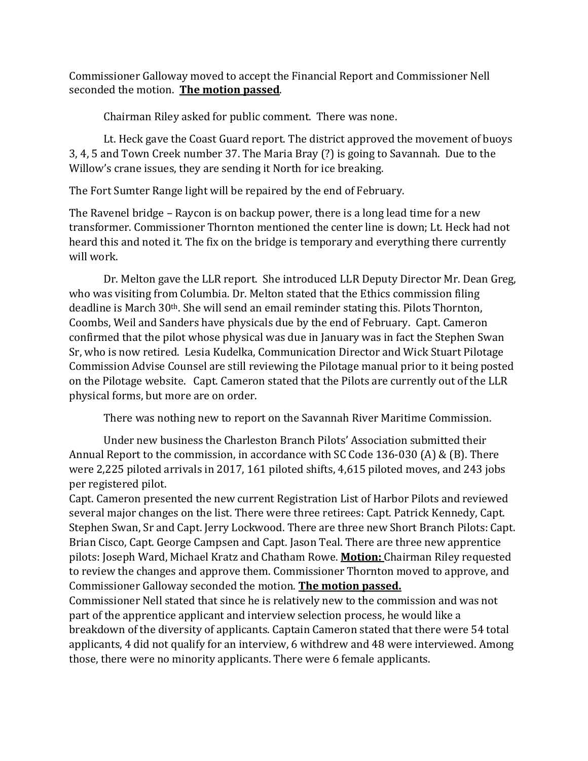Commissioner Galloway moved to accept the Financial Report and Commissioner Nell seconded the motion. **The motion passed**.

Chairman Riley asked for public comment. There was none.

Lt. Heck gave the Coast Guard report. The district approved the movement of buoys 3, 4, 5 and Town Creek number 37. The Maria Bray (?) is going to Savannah. Due to the Willow's crane issues, they are sending it North for ice breaking.

The Fort Sumter Range light will be repaired by the end of February.

The Ravenel bridge – Raycon is on backup power, there is a long lead time for a new transformer. Commissioner Thornton mentioned the center line is down; Lt. Heck had not heard this and noted it. The fix on the bridge is temporary and everything there currently will work.

Dr. Melton gave the LLR report. She introduced LLR Deputy Director Mr. Dean Greg, who was visiting from Columbia. Dr. Melton stated that the Ethics commission filing deadline is March 30th. She will send an email reminder stating this. Pilots Thornton, Coombs, Weil and Sanders have physicals due by the end of February. Capt. Cameron confirmed that the pilot whose physical was due in January was in fact the Stephen Swan Sr, who is now retired. Lesia Kudelka, Communication Director and Wick Stuart Pilotage Commission Advise Counsel are still reviewing the Pilotage manual prior to it being posted on the Pilotage website. Capt. Cameron stated that the Pilots are currently out of the LLR physical forms, but more are on order.

There was nothing new to report on the Savannah River Maritime Commission.

Under new business the Charleston Branch Pilots' Association submitted their Annual Report to the commission, in accordance with SC Code 136-030 (A) & (B). There were 2,225 piloted arrivals in 2017, 161 piloted shifts, 4,615 piloted moves, and 243 jobs per registered pilot.

Capt. Cameron presented the new current Registration List of Harbor Pilots and reviewed several major changes on the list. There were three retirees: Capt. Patrick Kennedy, Capt. Stephen Swan, Sr and Capt. Jerry Lockwood. There are three new Short Branch Pilots: Capt. Brian Cisco, Capt. George Campsen and Capt. Jason Teal. There are three new apprentice pilots: Joseph Ward, Michael Kratz and Chatham Rowe. **Motion:** Chairman Riley requested to review the changes and approve them. Commissioner Thornton moved to approve, and Commissioner Galloway seconded the motion. **The motion passed.**

Commissioner Nell stated that since he is relatively new to the commission and was not part of the apprentice applicant and interview selection process, he would like a breakdown of the diversity of applicants. Captain Cameron stated that there were 54 total applicants, 4 did not qualify for an interview, 6 withdrew and 48 were interviewed. Among those, there were no minority applicants. There were 6 female applicants.